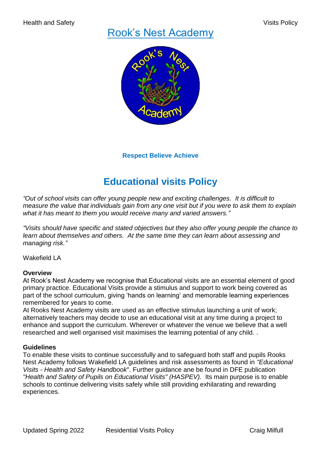# Rook's Nest Academy



# **Respect Believe Achieve**

# **Educational visits Policy**

*"Out of school visits can offer young people new and exciting challenges. It is difficult to measure the value that individuals gain from any one visit but if you were to ask them to explain what it has meant to them you would receive many and varied answers."*

*"Visits should have specific and stated objectives but they also offer young people the chance to learn about themselves and others. At the same time they can learn about assessing and managing risk."*

Wakefield LA

## **Overview**

At Rook's Nest Academy we recognise that Educational visits are an essential element of good primary practice. Educational Visits provide a stimulus and support to work being covered as part of the school curriculum, giving 'hands on learning' and memorable learning experiences remembered for years to come.

At Rooks Nest Academy visits are used as an effective stimulus launching a unit of work; alternatively teachers may decide to use an educational visit at any time during a project to enhance and support the curriculum. Wherever or whatever the venue we believe that a well researched and well organised visit maximises the learning potential of any child. .

### **Guidelines**

To enable these visits to continue successfully and to safeguard both staff and pupils Rooks Nest Academy follows Wakefield LA guidelines and risk assessments as found in *"Educational Visits - Health and Safety Handbook*". Further guidance ane be found in DFE publication *"Health and Safety of Pupils on Educational Visits" (HASPEV).* Its main purpose is to enable schools to continue delivering visits safely while still providing exhilarating and rewarding experiences.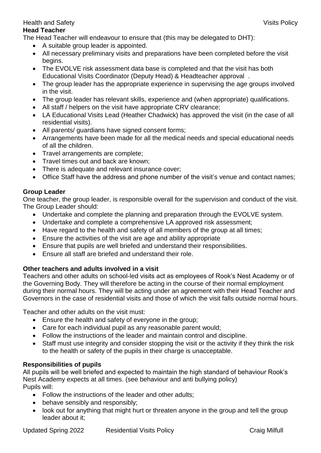## **Head Teacher**

The Head Teacher will endeavour to ensure that (this may be delegated to DHT):

- A suitable group leader is appointed.
- All necessary preliminary visits and preparations have been completed before the visit begins.
- The EVOLVE risk assessment data base is completed and that the visit has both Educational Visits Coordinator (Deputy Head) & Headteacher approval .
- The group leader has the appropriate experience in supervising the age groups involved in the visit.
- The group leader has relevant skills, experience and (when appropriate) qualifications.
- All staff / helpers on the visit have appropriate CRV clearance;
- LA Educational Visits Lead (Heather Chadwick) has approved the visit (in the case of all residential visits).
- All parents/ guardians have signed consent forms;
- Arrangements have been made for all the medical needs and special educational needs of all the children.
- Travel arrangements are complete;
- Travel times out and back are known:
- There is adequate and relevant insurance cover;
- Office Staff have the address and phone number of the visit's venue and contact names;

## **Group Leader**

One teacher, the group leader, is responsible overall for the supervision and conduct of the visit. The Group Leader should:

- Undertake and complete the planning and preparation through the EVOLVE system.
- Undertake and complete a comprehensive LA approved risk assessment;
- Have regard to the health and safety of all members of the group at all times;
- Ensure the activities of the visit are age and ability appropriate
- Ensure that pupils are well briefed and understand their responsibilities.
- Ensure all staff are briefed and understand their role.

# **Other teachers and adults involved in a visit**

Teachers and other adults on school-led visits act as employees of Rook's Nest Academy or of the Governing Body. They will therefore be acting in the course of their normal employment during their normal hours. They will be acting under an agreement with their Head Teacher and Governors in the case of residential visits and those of which the visit falls outside normal hours.

Teacher and other adults on the visit must:

- Ensure the health and safety of everyone in the group;
- Care for each individual pupil as any reasonable parent would;
- Follow the instructions of the leader and maintain control and discipline.
- Staff must use integrity and consider stopping the visit or the activity if they think the risk to the health or safety of the pupils in their charge is unacceptable.

# **Responsibilities of pupils**

All pupils will be well briefed and expected to maintain the high standard of behaviour Rook's Nest Academy expects at all times. (see behaviour and anti bullying policy) Pupils will:

- Follow the instructions of the leader and other adults;
- behave sensibly and responsibly;
- look out for anything that might hurt or threaten anyone in the group and tell the group leader about it;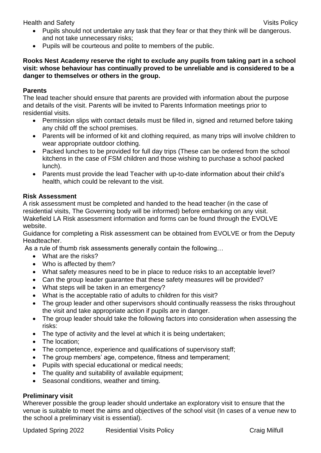- Pupils should not undertake any task that they fear or that they think will be dangerous. and not take unnecessary risks;
- Pupils will be courteous and polite to members of the public.

## **Rooks Nest Academy reserve the right to exclude any pupils from taking part in a school visit: whose behaviour has continually proved to be unreliable and is considered to be a danger to themselves or others in the group.**

## **Parents**

The lead teacher should ensure that parents are provided with information about the purpose and details of the visit. Parents will be invited to Parents Information meetings prior to residential visits.

- Permission slips with contact details must be filled in, signed and returned before taking any child off the school premises.
- Parents will be informed of kit and clothing required, as many trips will involve children to wear appropriate outdoor clothing.
- Packed lunches to be provided for full day trips (These can be ordered from the school kitchens in the case of FSM children and those wishing to purchase a school packed lunch).
- Parents must provide the lead Teacher with up-to-date information about their child's health, which could be relevant to the visit.

## **Risk Assessment**

A risk assessment must be completed and handed to the head teacher (in the case of residential visits, The Governing body will be informed) before embarking on any visit. Wakefield LA Risk assessment information and forms can be found through the EVOLVE website.

Guidance for completing a Risk assessment can be obtained from EVOLVE or from the Deputy Headteacher.

As a rule of thumb risk assessments generally contain the following…

- What are the risks?
- Who is affected by them?
- What safety measures need to be in place to reduce risks to an acceptable level?
- Can the group leader guarantee that these safety measures will be provided?
- What steps will be taken in an emergency?
- What is the acceptable ratio of adults to children for this visit?
- The group leader and other supervisors should continually reassess the risks throughout the visit and take appropriate action if pupils are in danger.
- The group leader should take the following factors into consideration when assessing the risks:
- The type of activity and the level at which it is being undertaken;
- The location:
- The competence, experience and qualifications of supervisory staff;
- The group members' age, competence, fitness and temperament;
- Pupils with special educational or medical needs;
- The quality and suitability of available equipment;
- Seasonal conditions, weather and timing.

### **Preliminary visit**

Wherever possible the group leader should undertake an exploratory visit to ensure that the venue is suitable to meet the aims and objectives of the school visit (In cases of a venue new to the school a preliminary visit is essential).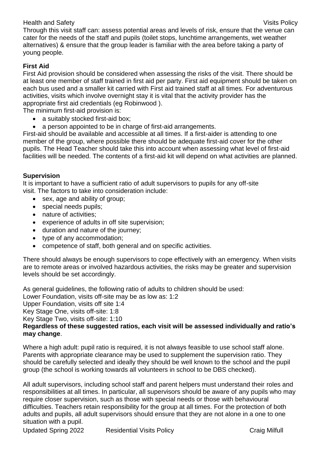Through this visit staff can: assess potential areas and levels of risk, ensure that the venue can cater for the needs of the staff and pupils (toilet stops, lunchtime arrangements, wet weather alternatives) & ensure that the group leader is familiar with the area before taking a party of young people.

## **First Aid**

First Aid provision should be considered when assessing the risks of the visit. There should be at least one member of staff trained in first aid per party. First aid equipment should be taken on each bus used and a smaller kit carried with First aid trained staff at all times. For adventurous activities, visits which involve overnight stay it is vital that the activity provider has the appropriate first aid credentials (eg Robinwood ).

The minimum first-aid provision is:

- a suitably stocked first-aid box;
- a person appointed to be in charge of first-aid arrangements.

First-aid should be available and accessible at all times. If a first-aider is attending to one member of the group, where possible there should be adequate first-aid cover for the other pupils. The Head Teacher should take this into account when assessing what level of first-aid facilities will be needed. The contents of a first-aid kit will depend on what activities are planned.

## **Supervision**

It is important to have a sufficient ratio of adult supervisors to pupils for any off-site visit. The factors to take into consideration include:

- sex, age and ability of group;
- special needs pupils;
- nature of activities:
- experience of adults in off site supervision;
- duration and nature of the journey;
- type of any accommodation;
- competence of staff, both general and on specific activities.

There should always be enough supervisors to cope effectively with an emergency. When visits are to remote areas or involved hazardous activities, the risks may be greater and supervision levels should be set accordingly.

As general guidelines, the following ratio of adults to children should be used: Lower Foundation, visits off-site may be as low as: 1:2 Upper Foundation, visits off site 1:4 Key Stage One, visits off-site: 1:8 Key Stage Two, visits off-site: 1:10 **Regardless of these suggested ratios, each visit will be assessed individually and ratio's may change**.

Where a high adult: pupil ratio is required, it is not always feasible to use school staff alone. Parents with appropriate clearance may be used to supplement the supervision ratio. They should be carefully selected and ideally they should be well known to the school and the pupil group (the school is working towards all volunteers in school to be DBS checked).

All adult supervisors, including school staff and parent helpers must understand their roles and responsibilities at all times. In particular, all supervisors should be aware of any pupils who may require closer supervision, such as those with special needs or those with behavioural difficulties. Teachers retain responsibility for the group at all times. For the protection of both adults and pupils, all adult supervisors should ensure that they are not alone in a one to one situation with a pupil.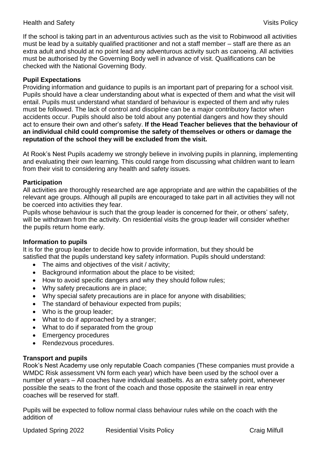If the school is taking part in an adventurous activies such as the visit to Robinwood all activities must be lead by a suitably qualified practitioner and not a staff member – staff are there as an extra adult and should at no point lead any adventurous activity such as canoeing. All activities must be authorised by the Governing Body well in advance of visit. Qualifications can be checked with the National Governing Body.

## **Pupil Expectations**

Providing information and guidance to pupils is an important part of preparing for a school visit. Pupils should have a clear understanding about what is expected of them and what the visit will entail. Pupils must understand what standard of behaviour is expected of them and why rules must be followed. The lack of control and discipline can be a major contributory factor when accidents occur. Pupils should also be told about any potential dangers and how they should act to ensure their own and other's safety. **If the Head Teacher believes that the behaviour of an individual child could compromise the safety of themselves or others or damage the reputation of the school they will be excluded from the visit.** 

At Rook's Nest Pupils academy we strongly believe in involving pupils in planning, implementing and evaluating their own learning. This could range from discussing what children want to learn from their visit to considering any health and safety issues.

### **Participation**

All activities are thoroughly researched are age appropriate and are within the capabilities of the relevant age groups. Although all pupils are encouraged to take part in all activities they will not be coerced into activities they fear.

Pupils whose behaviour is such that the group leader is concerned for their, or others' safety, will be withdrawn from the activity. On residential visits the group leader will consider whether the pupils return home early.

## **Information to pupils**

It is for the group leader to decide how to provide information, but they should be satisfied that the pupils understand key safety information. Pupils should understand:

- The aims and objectives of the visit / activity:
- Background information about the place to be visited;
- How to avoid specific dangers and why they should follow rules;
- Why safety precautions are in place;
- Why special safety precautions are in place for anyone with disabilities;
- The standard of behaviour expected from pupils;
- Who is the group leader:
- What to do if approached by a stranger;
- What to do if separated from the group
- Emergency procedures
- Rendezvous procedures.

## **Transport and pupils**

Rook's Nest Academy use only reputable Coach companies (These companies must provide a WMDC Risk assessment VN form each year) which have been used by the school over a number of years – All coaches have individual seatbelts. As an extra safety point, whenever possible the seats to the front of the coach and those opposite the stairwell in rear entry coaches will be reserved for staff.

Pupils will be expected to follow normal class behaviour rules while on the coach with the addition of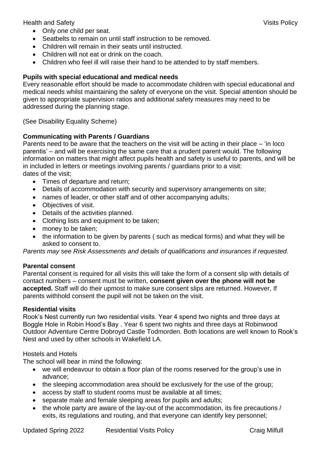- Only one child per seat.
- Seatbelts to remain on until staff instruction to be removed.
- Children will remain in their seats until instructed.
- Children will not eat or drink on the coach.
- Children who feel ill will raise their hand to be attended to by staff members.

## **Pupils with special educational and medical needs**

Every reasonable effort should be made to accommodate children with special educational and medical needs whilst maintaining the safety of everyone on the visit. Special attention should be given to appropriate supervision ratios and additional safety measures may need to be addressed during the planning stage.

(See Disability Equality Scheme)

## **Communicating with Parents / Guardians**

Parents need to be aware that the teachers on the visit will be acting in their place – 'in loco parentis' – and will be exercising the same care that a prudent parent would. The following information on matters that might affect pupils health and safety is useful to parents, and will be in included in letters or meetings involving parents / guardians prior to a visit: dates of the visit;

- Times of departure and return:
- Details of accommodation with security and supervisory arrangements on site;
- names of leader, or other staff and of other accompanying adults;
- Objectives of visit.
- Details of the activities planned.
- Clothing lists and equipment to be taken;
- money to be taken;
- the information to be given by parents ( such as medical forms) and what they will be asked to consent to.

*Parents may see Risk Assessments and details of qualifications and insurances if requested.* 

### **Parental consent**

Parental consent is required for all visits this will take the form of a consent slip with details of contact numbers – consent must be written, **consent given over the phone will not be accepted.** Staff will do their upmost to make sure consent slips are returned. However, If parents withhold consent the pupil will not be taken on the visit.

### **Residential visits**

Rook's Nest currently run two residential visits. Year 4 spend two nights and three days at Boggle Hole in Robin Hood's Bay . Year 6 spent two nights and three days at Robinwood Outdoor Adventure Centre Dobroyd Castle Todmorden. Both locations are well known to Rook's Nest and used by other schools in Wakefield LA.

### Hostels and Hotels

The school will bear in mind the following:

- we will endeavour to obtain a floor plan of the rooms reserved for the group's use in advance;
- the sleeping accommodation area should be exclusively for the use of the group;
- access by staff to student rooms must be available at all times:
- separate male and female sleeping areas for pupils and adults;
- the whole party are aware of the lay-out of the accommodation, its fire precautions / exits, its regulations and routing, and that everyone can identify key personnel;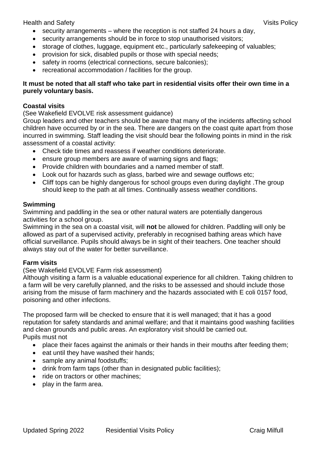- security arrangements where the reception is not staffed 24 hours a day,
- security arrangements should be in force to stop unauthorised visitors;
- storage of clothes, luggage, equipment etc., particularly safekeeping of valuables;
- provision for sick, disabled pupils or those with special needs;
- safety in rooms (electrical connections, secure balconies);
- recreational accommodation / facilities for the group.

## **It must be noted that all staff who take part in residential visits offer their own time in a purely voluntary basis.**

### **Coastal visits**

(See Wakefield EVOLVE risk assessment guidance)

Group leaders and other teachers should be aware that many of the incidents affecting school children have occurred by or in the sea. There are dangers on the coast quite apart from those incurred in swimming. Staff leading the visit should bear the following points in mind in the risk assessment of a coastal activity:

- Check tide times and reassess if weather conditions deteriorate.
- ensure group members are aware of warning signs and flags;
- Provide children with boundaries and a named member of staff.
- Look out for hazards such as glass, barbed wire and sewage outflows etc:
- Cliff tops can be highly dangerous for school groups even during daylight .The group should keep to the path at all times. Continually assess weather conditions.

### **Swimming**

Swimming and paddling in the sea or other natural waters are potentially dangerous activities for a school group.

Swimming in the sea on a coastal visit, will **not** be allowed for children. Paddling will only be allowed as part of a supervised activity, preferably in recognised bathing areas which have official surveillance. Pupils should always be in sight of their teachers. One teacher should always stay out of the water for better surveillance.

### **Farm visits**

(See Wakefield EVOLVE Farm risk assessment)

Although visiting a farm is a valuable educational experience for all children. Taking children to a farm will be very carefully planned, and the risks to be assessed and should include those arising from the misuse of farm machinery and the hazards associated with E coli 0157 food, poisoning and other infections.

The proposed farm will be checked to ensure that it is well managed; that it has a good reputation for safety standards and animal welfare; and that it maintains good washing facilities and clean grounds and public areas. An exploratory visit should be carried out. Pupils must not

- place their faces against the animals or their hands in their mouths after feeding them;
- eat until they have washed their hands;
- sample any animal foodstuffs;
- drink from farm taps (other than in designated public facilities);
- ride on tractors or other machines:
- play in the farm area.